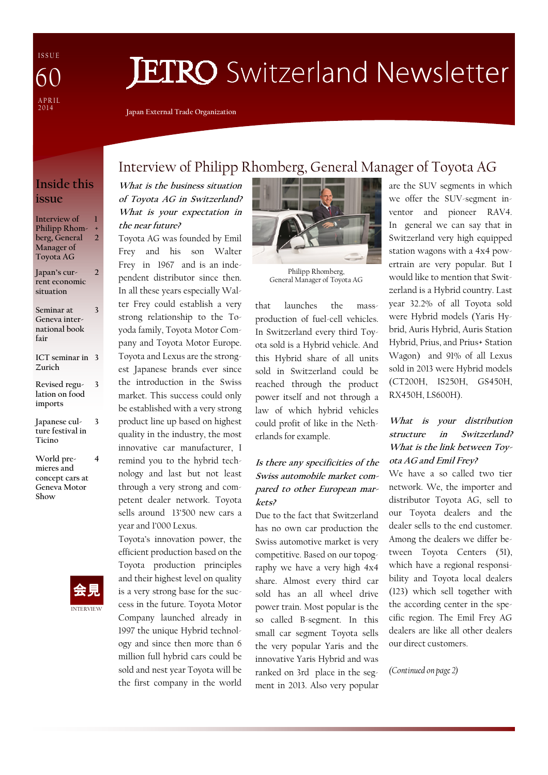I S S U E A P R I L  $\frac{201}{4}$ 60

# **JETRO** Switzerland Newsletter

Japan External Trade Organization

### Inside this issue

Interview of Philipp Rhomberg, General Manager of Toyota AG 1 + 2

Japan's current economic situation 2

Seminar at Geneva international book fair

3

3

ICT seminar in 3 Zurich

- Revised regulation on food imports
- Japanese culture festival in Ticino 3
- World premieres and concept cars at Geneva Motor Show 4



## Interview of Philipp Rhomberg, General Manager of Toyota AG

What is the business situation of Toyota AG in Switzerland? What is your expectation in the near future?

Toyota AG was founded by Emil Frey and his son Walter Frey in 1967 and is an independent distributor since then. In all these years especially Walter Frey could establish a very strong relationship to the Toyoda family, Toyota Motor Company and Toyota Motor Europe. Toyota and Lexus are the strongest Japanese brands ever since the introduction in the Swiss market. This success could only be established with a very strong product line up based on highest quality in the industry, the most innovative car manufacturer, I remind you to the hybrid technology and last but not least through a very strong and competent dealer network. Toyota sells around 13'500 new cars a year and 1'000 Lexus.

Toyota's innovation power, the efficient production based on the Toyota production principles and their highest level on quality is a very strong base for the success in the future. Toyota Motor Company launched already in 1997 the unique Hybrid technology and since then more than 6 million full hybrid cars could be sold and nest year Toyota will be the first company in the world



General Manager of Toyota AG

that launches the massproduction of fuel-cell vehicles. In Switzerland every third Toyota sold is a Hybrid vehicle. And this Hybrid share of all units sold in Switzerland could be reached through the product power itself and not through a law of which hybrid vehicles could profit of like in the Netherlands for example.

#### Is there any specificities of the Swiss automobile market compared to other European markets?

Due to the fact that Switzerland has no own car production the Swiss automotive market is very competitive. Based on our topography we have a very high 4x4 share. Almost every third car sold has an all wheel drive power train. Most popular is the so called B-segment. In this small car segment Toyota sells the very popular Yaris and the innovative Yaris Hybrid and was ranked on 3rd place in the segment in 2013. Also very popular are the SUV segments in which we offer the SUV-segment inventor and pioneer RAV4. In general we can say that in Switzerland very high equipped station wagons with a 4x4 powertrain are very popular. But I would like to mention that Switzerland is a Hybrid country. Last year 32.2% of all Toyota sold were Hybrid models (Yaris Hybrid, Auris Hybrid, Auris Station Hybrid, Prius, and Prius+ Station Wagon) and 91% of all Lexus sold in 2013 were Hybrid models (CT200H, IS250H, GS450H, RX450H, LS600H).

#### What is your distribution structure in Switzerland? What is the link between Toyota AG and Emil Frey?

We have a so called two tier network. We, the importer and distributor Toyota AG, sell to our Toyota dealers and the dealer sells to the end customer. Among the dealers we differ between Toyota Centers (51), which have a regional responsibility and Toyota local dealers (123) which sell together with the according center in the specific region. The Emil Frey AG dealers are like all other dealers our direct customers.

(Continued on page 2)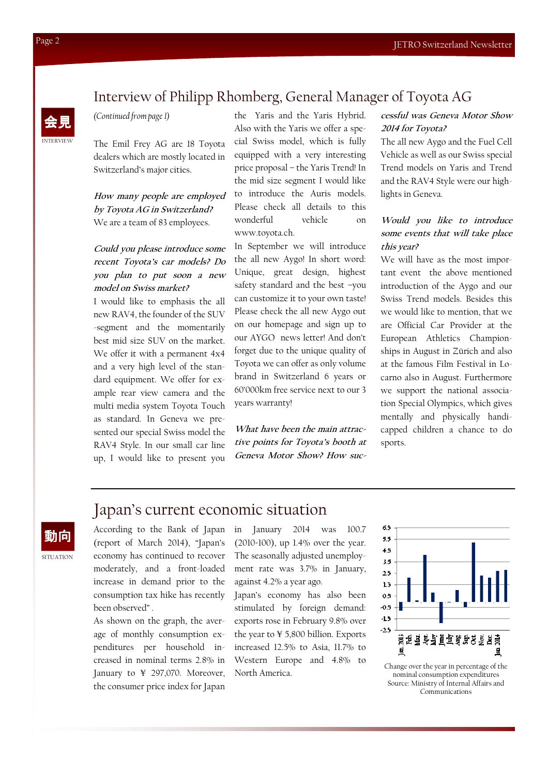## **NTERVIEW** 会見

**SITUATION** 

動向

#### (Continued from page 1)

The Emil Frey AG are 18 Toyota dealers which are mostly located in Switzerland's major cities.

How many people are employed by Toyota AG in Switzerland? We are a team of 83 employees.

#### Could you please introduce some recent Toyota's car models? Do you plan to put soon <sup>a</sup> new model on Swiss market?

I would like to emphasis the all new RAV4, the founder of the SUV -segment and the momentarily best mid size SUV on the market. We offer it with a permanent 4x4 and a very high level of the standard equipment. We offer for example rear view camera and the multi media system Toyota Touch as standard. In Geneva we presented our special Swiss model the RAV4 Style. In our small car line up, I would like to present you

the Yaris and the Yaris Hybrid. Also with the Yaris we offer a special Swiss model, which is fully equipped with a very interesting price proposal – the Yaris Trend! In the mid size segment I would like to introduce the Auris models. Please check all details to this wonderful vehicle on www.toyota.ch.

Interview of Philipp Rhomberg, General Manager of Toyota AG

In September we will introduce the all new Aygo! In short word: Unique, great design, highest safety standard and the best –you can customize it to your own taste! Please check the all new Aygo out on our homepage and sign up to our AYGO news letter! And don't forget due to the unique quality of Toyota we can offer as only volume brand in Switzerland 6 years or 60'000km free service next to our 3 years warranty!

What have been the main attractive points for Toyota's booth at Geneva Motor Show? How suc-

#### cessful was Geneva Motor Show 2014 for Toyota?

The all new Aygo and the Fuel Cell Vehicle as well as our Swiss special Trend models on Yaris and Trend and the RAV4 Style were our highlights in Geneva.

#### Would you like to introduce some events that will take place this year?

We will have as the most important event the above mentioned introduction of the Aygo and our Swiss Trend models. Besides this we would like to mention, that we are Official Car Provider at the European Athletics Championships in August in Zürich and also at the famous Film Festival in Locarno also in August. Furthermore we support the national association Special Olympics, which gives mentally and physically handicapped children a chance to do sports.

## Japan's current economic situation

According to the Bank of Japan (report of March 2014), "Japan's economy has continued to recover moderately, and a front-loaded increase in demand prior to the consumption tax hike has recently been observed" .

As shown on the graph, the average of monthly consumption expenditures per household increased in nominal terms 2.8% in January to ¥ 297,070. Moreover, the consumer price index for Japan

in January 2014 was 100.7 (2010=100), up 1.4% over the year. The seasonally adjusted unemployment rate was 3.7% in January, against 4.2% a year ago.

Japan's economy has also been stimulated by foreign demand: exports rose in February 9.8% over the year to ¥ 5,800 billion. Exports increased 12.5% to Asia, 11.7% to Western Europe and 4.8% to North America.



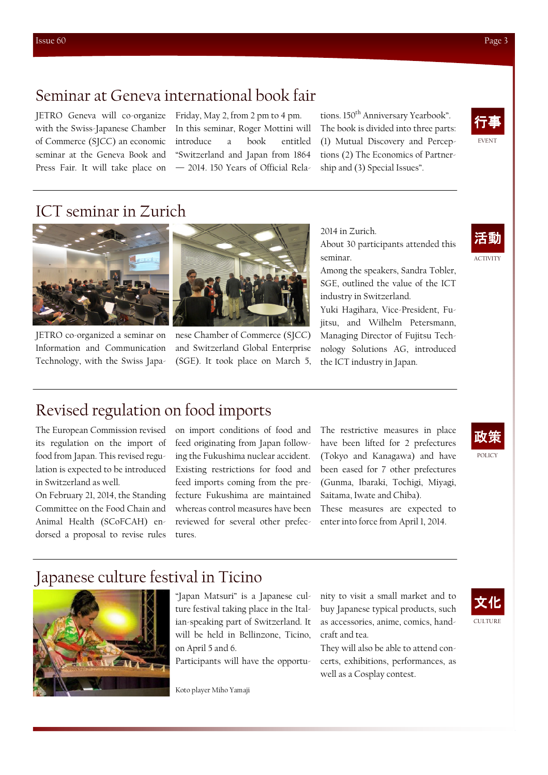JETRO Geneva will co-organize with the Swiss-Japanese Chamber of Commerce (SJCC) an economic seminar at the Geneva Book and Press Fair. It will take place on

Friday, May 2, from 2 pm to 4 pm. In this seminar, Roger Mottini will introduce a book entitled "Switzerland and Japan from 1864 — 2014. 150 Years of Official Relations. 150<sup>th</sup> Anniversary Yearbook". The book is divided into three parts: (1) Mutual Discovery and Perceptions (2) The Economics of Partnership and (3) Special Issues".



## ICT seminar in Zurich



JETRO co-organized a seminar on Information and Communication Technology, with the Swiss Japa-



nese Chamber of Commerce (SJCC) and Switzerland Global Enterprise (SGE). It took place on March 5,

About 30 participants attended this seminar.

2014 in Zurich.

Among the speakers, Sandra Tobler, SGE, outlined the value of the ICT industry in Switzerland.

Yuki Hagihara, Vice-President, Fujitsu, and Wilhelm Petersmann, Managing Director of Fujitsu Technology Solutions AG, introduced the ICT industry in Japan.



ACTIVITY

## 政策

## Revised regulation on food imports

The European Commission revised its regulation on the import of food from Japan. This revised regulation is expected to be introduced in Switzerland as well.

On February 21, 2014, the Standing Committee on the Food Chain and Animal Health (SCoFCAH) endorsed a proposal to revise rules

on import conditions of food and feed originating from Japan following the Fukushima nuclear accident. Existing restrictions for food and feed imports coming from the prefecture Fukushima are maintained whereas control measures have been reviewed for several other prefectures.

The restrictive measures in place have been lifted for 2 prefectures (Tokyo and Kanagawa) and have been eased for 7 other prefectures (Gunma, Ibaraki, Tochigi, Miyagi, Saitama, Iwate and Chiba).

These measures are expected to enter into force from April 1, 2014.

## Japanese culture festival in Ticino



"Japan Matsuri" is a Japanese culture festival taking place in the Italian-speaking part of Switzerland. It will be held in Bellinzone, Ticino, on April 5 and 6.

Participants will have the opportu-

Koto player Miho Yamaji

nity to visit a small market and to buy Japanese typical products, such as accessories, anime, comics, handcraft and tea.

They will also be able to attend concerts, exhibitions, performances, as well as a Cosplay contest.



POLICY